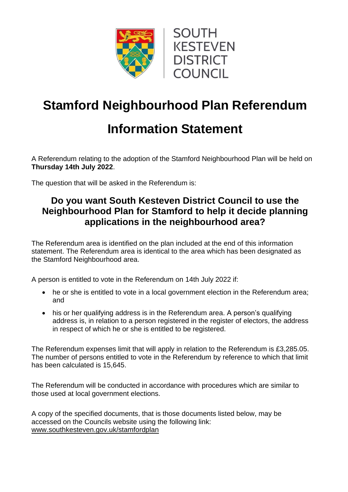



## **Stamford Neighbourhood Plan Referendum**

## **Information Statement**

A Referendum relating to the adoption of the Stamford Neighbourhood Plan will be held on **Thursday 14th July 2022**.

The question that will be asked in the Referendum is:

## **Do you want South Kesteven District Council to use the Neighbourhood Plan for Stamford to help it decide planning applications in the neighbourhood area?**

The Referendum area is identified on the plan included at the end of this information statement. The Referendum area is identical to the area which has been designated as the Stamford Neighbourhood area.

A person is entitled to vote in the Referendum on 14th July 2022 if:

- he or she is entitled to vote in a local government election in the Referendum area; and
- his or her qualifying address is in the Referendum area. A person's qualifying address is, in relation to a person registered in the register of electors, the address in respect of which he or she is entitled to be registered.

The Referendum expenses limit that will apply in relation to the Referendum is £3,285.05. The number of persons entitled to vote in the Referendum by reference to which that limit has been calculated is 15,645.

The Referendum will be conducted in accordance with procedures which are similar to those used at local government elections.

A copy of the specified documents, that is those documents listed below, may be accessed on the Councils website using the following link: [www.southkesteven.gov.uk/stamfordplan](http://www.southkesteven.gov.uk/stamfordplan)